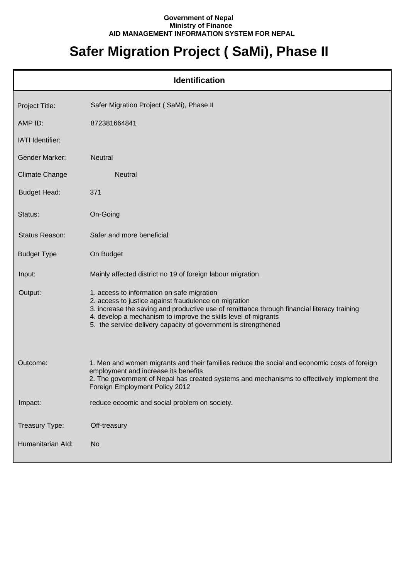## **Government of Nepal Ministry of Finance AID MANAGEMENT INFORMATION SYSTEM FOR NEPAL**

## **Safer Migration Project ( SaMi), Phase II**

|                       | <b>Identification</b>                                                                                                                                                                                                                                                                                                                  |
|-----------------------|----------------------------------------------------------------------------------------------------------------------------------------------------------------------------------------------------------------------------------------------------------------------------------------------------------------------------------------|
| Project Title:        | Safer Migration Project (SaMi), Phase II                                                                                                                                                                                                                                                                                               |
| AMP ID:               | 872381664841                                                                                                                                                                                                                                                                                                                           |
| IATI Identifier:      |                                                                                                                                                                                                                                                                                                                                        |
| <b>Gender Marker:</b> | Neutral                                                                                                                                                                                                                                                                                                                                |
| Climate Change        | <b>Neutral</b>                                                                                                                                                                                                                                                                                                                         |
| <b>Budget Head:</b>   | 371                                                                                                                                                                                                                                                                                                                                    |
| Status:               | On-Going                                                                                                                                                                                                                                                                                                                               |
| Status Reason:        | Safer and more beneficial                                                                                                                                                                                                                                                                                                              |
| <b>Budget Type</b>    | On Budget                                                                                                                                                                                                                                                                                                                              |
| Input:                | Mainly affected district no 19 of foreign labour migration.                                                                                                                                                                                                                                                                            |
| Output:               | 1. access to information on safe migration<br>2. access to justice against fraudulence on migration<br>3. increase the saving and productive use of remittance through financial literacy training<br>4. develop a mechanism to improve the skills level of migrants<br>5. the service delivery capacity of government is strengthened |
| Outcome:              | 1. Men and women migrants and their families reduce the social and economic costs of foreign<br>employment and increase its benefits<br>2. The government of Nepal has created systems and mechanisms to effectively implement the<br>Foreign Employment Policy 2012                                                                   |
| Impact:               | reduce ecoomic and social problem on society.                                                                                                                                                                                                                                                                                          |
| Treasury Type:        | Off-treasury                                                                                                                                                                                                                                                                                                                           |
| Humanitarian Ald:     | <b>No</b>                                                                                                                                                                                                                                                                                                                              |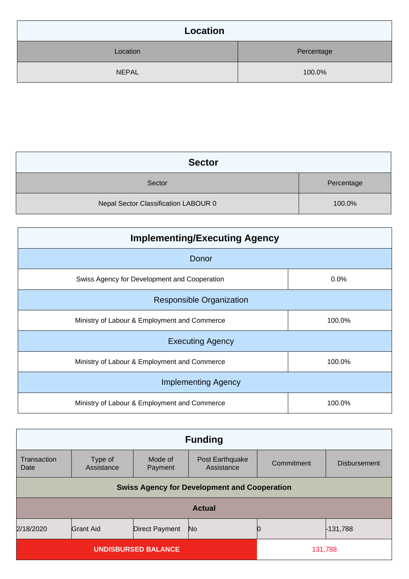| Location     |            |
|--------------|------------|
| Location     | Percentage |
| <b>NEPAL</b> | 100.0%     |

| <b>Sector</b>                        |            |
|--------------------------------------|------------|
| Sector                               | Percentage |
| Nepal Sector Classification LABOUR 0 | 100.0%     |

| <b>Implementing/Executing Agency</b>         |        |  |
|----------------------------------------------|--------|--|
| Donor                                        |        |  |
| Swiss Agency for Development and Cooperation | 0.0%   |  |
| <b>Responsible Organization</b>              |        |  |
| Ministry of Labour & Employment and Commerce | 100.0% |  |
| <b>Executing Agency</b>                      |        |  |
| Ministry of Labour & Employment and Commerce | 100.0% |  |
| <b>Implementing Agency</b>                   |        |  |
| Ministry of Labour & Employment and Commerce | 100.0% |  |

| <b>Funding</b>                                                           |                                                     |                    |                               |            |                     |
|--------------------------------------------------------------------------|-----------------------------------------------------|--------------------|-------------------------------|------------|---------------------|
| Transaction<br>Date                                                      | Type of<br>Assistance                               | Mode of<br>Payment | Post Earthquake<br>Assistance | Commitment | <b>Disbursement</b> |
|                                                                          | <b>Swiss Agency for Development and Cooperation</b> |                    |                               |            |                     |
| <b>Actual</b>                                                            |                                                     |                    |                               |            |                     |
| 2/18/2020<br><b>Grant Aid</b><br><b>Direct Payment</b><br>-131,788<br>No |                                                     |                    |                               |            |                     |
| <b>UNDISBURSED BALANCE</b>                                               |                                                     |                    | 131,788                       |            |                     |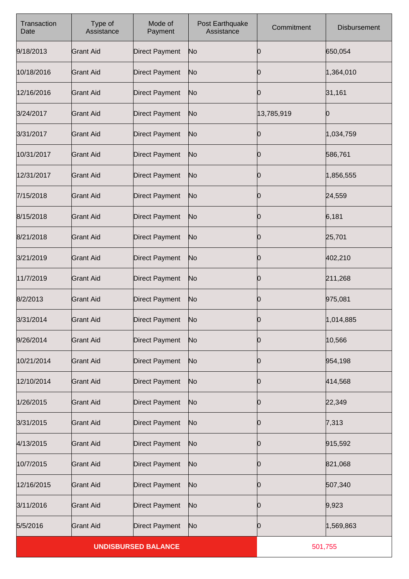| Transaction<br>Date        | Type of<br>Assistance | Mode of<br>Payment    | Post Earthquake<br>Assistance | Commitment | <b>Disbursement</b> |
|----------------------------|-----------------------|-----------------------|-------------------------------|------------|---------------------|
| 9/18/2013                  | <b>Grant Aid</b>      | <b>Direct Payment</b> | No                            | Ю          | 650,054             |
| 10/18/2016                 | <b>Grant Aid</b>      | <b>Direct Payment</b> | No                            | 0          | 1,364,010           |
| 12/16/2016                 | <b>Grant Aid</b>      | <b>Direct Payment</b> | No                            | 0          | 31,161              |
| 3/24/2017                  | <b>Grant Aid</b>      | <b>Direct Payment</b> | No                            | 13,785,919 | Ю                   |
| 3/31/2017                  | <b>Grant Aid</b>      | <b>Direct Payment</b> | No                            | Ю          | 1,034,759           |
| 10/31/2017                 | <b>Grant Aid</b>      | <b>Direct Payment</b> | No                            | Ю          | 586,761             |
| 12/31/2017                 | <b>Grant Aid</b>      | <b>Direct Payment</b> | No                            | Ю          | 1,856,555           |
| 7/15/2018                  | <b>Grant Aid</b>      | <b>Direct Payment</b> | No                            | Ю          | 24,559              |
| 8/15/2018                  | <b>Grant Aid</b>      | <b>Direct Payment</b> | No                            | Ю          | 6,181               |
| 8/21/2018                  | <b>Grant Aid</b>      | <b>Direct Payment</b> | No                            | 0          | 25,701              |
| 3/21/2019                  | <b>Grant Aid</b>      | <b>Direct Payment</b> | No                            | Ŋ          | 402,210             |
| 11/7/2019                  | <b>Grant Aid</b>      | <b>Direct Payment</b> | No                            | 0          | 211,268             |
| 8/2/2013                   | <b>Grant Aid</b>      | <b>Direct Payment</b> | No                            | Ŋ          | 975,081             |
| 3/31/2014                  | <b>Grant Aid</b>      | <b>Direct Payment</b> | No                            | Ю          | 1,014,885           |
| 9/26/2014                  | <b>Grant Aid</b>      | <b>Direct Payment</b> | No                            | Ю          | 10,566              |
| 10/21/2014                 | <b>Grant Aid</b>      | <b>Direct Payment</b> | No                            | Ю          | 954,198             |
| 12/10/2014                 | <b>Grant Aid</b>      | <b>Direct Payment</b> | No                            | 0          | 414,568             |
| 1/26/2015                  | <b>Grant Aid</b>      | <b>Direct Payment</b> | No                            | Ю          | 22,349              |
| 3/31/2015                  | <b>Grant Aid</b>      | <b>Direct Payment</b> | No                            | Ю          | 7,313               |
| 4/13/2015                  | <b>Grant Aid</b>      | <b>Direct Payment</b> | No                            | Ю          | 915,592             |
| 10/7/2015                  | <b>Grant Aid</b>      | <b>Direct Payment</b> | No                            | Ю          | 821,068             |
| 12/16/2015                 | <b>Grant Aid</b>      | <b>Direct Payment</b> | No                            | Ю          | 507,340             |
| 3/11/2016                  | <b>Grant Aid</b>      | <b>Direct Payment</b> | No                            | Ю          | 9,923               |
| 5/5/2016                   | <b>Grant Aid</b>      | <b>Direct Payment</b> | No                            | Ŋ          | 1,569,863           |
| <b>UNDISBURSED BALANCE</b> |                       |                       |                               | 501,755    |                     |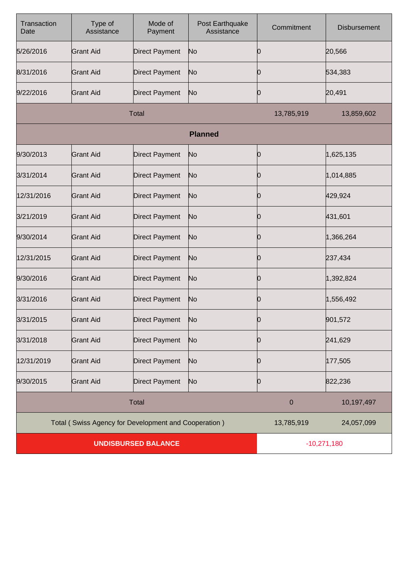| Transaction<br>Date        | Type of<br>Assistance                                | Mode of<br>Payment    | Post Earthquake<br>Assistance | Commitment  | <b>Disbursement</b> |
|----------------------------|------------------------------------------------------|-----------------------|-------------------------------|-------------|---------------------|
| 5/26/2016                  | <b>Grant Aid</b>                                     | <b>Direct Payment</b> | No                            |             | 20,566              |
| 8/31/2016                  | <b>Grant Aid</b>                                     | <b>Direct Payment</b> | No                            | Ю           | 534,383             |
| 9/22/2016                  | <b>Grant Aid</b>                                     | <b>Direct Payment</b> | No                            | Ю           | 20,491              |
|                            |                                                      | <b>Total</b>          |                               | 13,785,919  | 13,859,602          |
|                            |                                                      |                       | <b>Planned</b>                |             |                     |
| 9/30/2013                  | <b>Grant Aid</b>                                     | <b>Direct Payment</b> | No                            | Ю           | 1,625,135           |
| 3/31/2014                  | <b>Grant Aid</b>                                     | <b>Direct Payment</b> | No                            |             | 1,014,885           |
| 12/31/2016                 | <b>Grant Aid</b>                                     | <b>Direct Payment</b> | No                            | Ю           | 429,924             |
| 3/21/2019                  | <b>Grant Aid</b>                                     | <b>Direct Payment</b> | No                            |             | 431,601             |
| 9/30/2014                  | <b>Grant Aid</b>                                     | <b>Direct Payment</b> | No                            | Ю           | 1,366,264           |
| 12/31/2015                 | <b>Grant Aid</b>                                     | <b>Direct Payment</b> | No                            | O           | 237,434             |
| 9/30/2016                  | <b>Grant Aid</b>                                     | <b>Direct Payment</b> | No                            | Ю           | 1,392,824           |
| 3/31/2016                  | <b>Grant Aid</b>                                     | <b>Direct Payment</b> | No                            | O           | 1,556,492           |
| 3/31/2015                  | Grant Aid                                            | Direct Payment        | No                            | Ŋ           | 901,572             |
| 3/31/2018                  | <b>Grant Aid</b>                                     | <b>Direct Payment</b> | No                            | 0           | 241,629             |
| 12/31/2019                 | <b>Grant Aid</b>                                     | <b>Direct Payment</b> | No                            | O           | 177,505             |
| 9/30/2015                  | <b>Grant Aid</b>                                     | <b>Direct Payment</b> | N <sub>o</sub>                | 10          | 822,236             |
|                            |                                                      | <b>Total</b>          |                               | $\mathbf 0$ | 10,197,497          |
|                            | Total (Swiss Agency for Development and Cooperation) |                       |                               | 13,785,919  | 24,057,099          |
| <b>UNDISBURSED BALANCE</b> |                                                      |                       | $-10,271,180$                 |             |                     |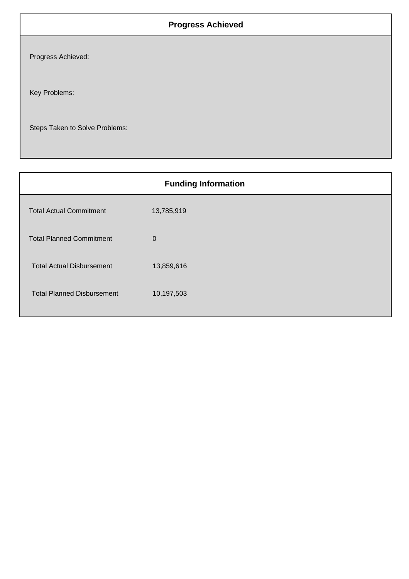## **Progress Achieved**

Progress Achieved:

Key Problems:

Steps Taken to Solve Problems:

|                                   | <b>Funding Information</b> |
|-----------------------------------|----------------------------|
| <b>Total Actual Commitment</b>    | 13,785,919                 |
| <b>Total Planned Commitment</b>   | $\mathbf 0$                |
| <b>Total Actual Disbursement</b>  | 13,859,616                 |
| <b>Total Planned Disbursement</b> | 10,197,503                 |